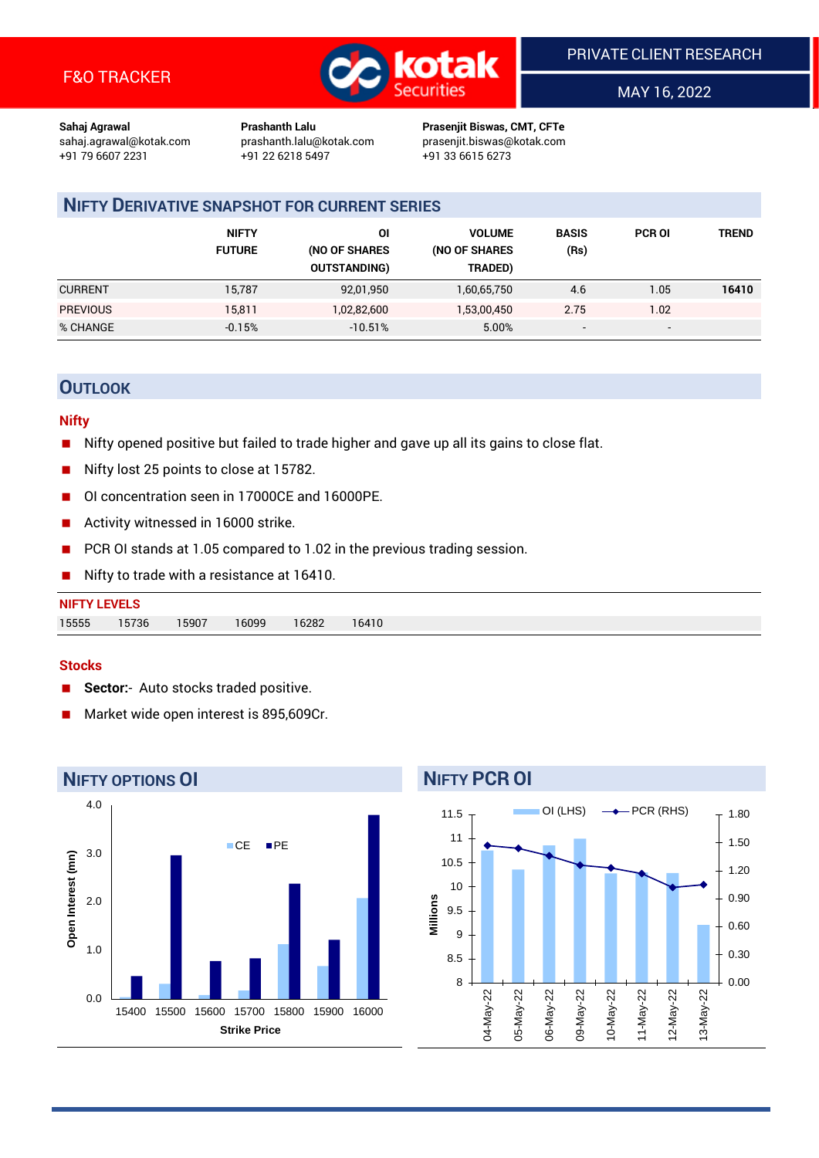

MAY 16, 2022

**Sahaj Agrawal Prashanth Lalu Prasenjit Biswas, CMT, CFTe** +91 22 6218 5497 +91 33 6615 6273

sahaj.agrawal@kotak.com [prashanth.lalu@kotak.com](mailto:prashanth.lalu@kotak.com) prasenjit.biswas@kotak.com

# **NIFTY DERIVATIVE SNAPSHOT FOR CURRENT SERIES**

|                 | <b>NIFTY</b><br><b>FUTURE</b> | 01<br>(NO OF SHARES<br><b>OUTSTANDING)</b> | <b>VOLUME</b><br>(NO OF SHARES<br>TRADED) | <b>BASIS</b><br>(Rs)     | <b>PCR OI</b> | TREND |
|-----------------|-------------------------------|--------------------------------------------|-------------------------------------------|--------------------------|---------------|-------|
| <b>CURRENT</b>  | 15,787                        | 92,01,950                                  | 1,60,65,750                               | 4.6                      | 1.05          | 16410 |
| <b>PREVIOUS</b> | 15,811                        | 1,02,82,600                                | 1,53,00,450                               | 2.75                     | 1.02          |       |
| % CHANGE        | $-0.15%$                      | $-10.51%$                                  | 5.00%                                     | $\overline{\phantom{a}}$ | -             |       |

## **OUTLOOK**

#### **Nifty**

- Nifty opened positive but failed to trade higher and gave up all its gains to close flat.
- Nifty lost 25 points to close at 15782.
- OI concentration seen in 17000CE and 16000PE.
- Activity witnessed in 16000 strike.
- PCR OI stands at 1.05 compared to 1.02 in the previous trading session.
- Nifty to trade with a resistance at 16410.

| <b>NIFTY LEVELS</b> |       |       |       |       |       |  |  |  |
|---------------------|-------|-------|-------|-------|-------|--|--|--|
| 15555               | 15736 | 15907 | 16099 | 16282 | 16410 |  |  |  |

#### **Stocks**

- **Sector:** Auto stocks traded positive.
- Market wide open interest is 895,609Cr.



# **NIFTY PCR OI**

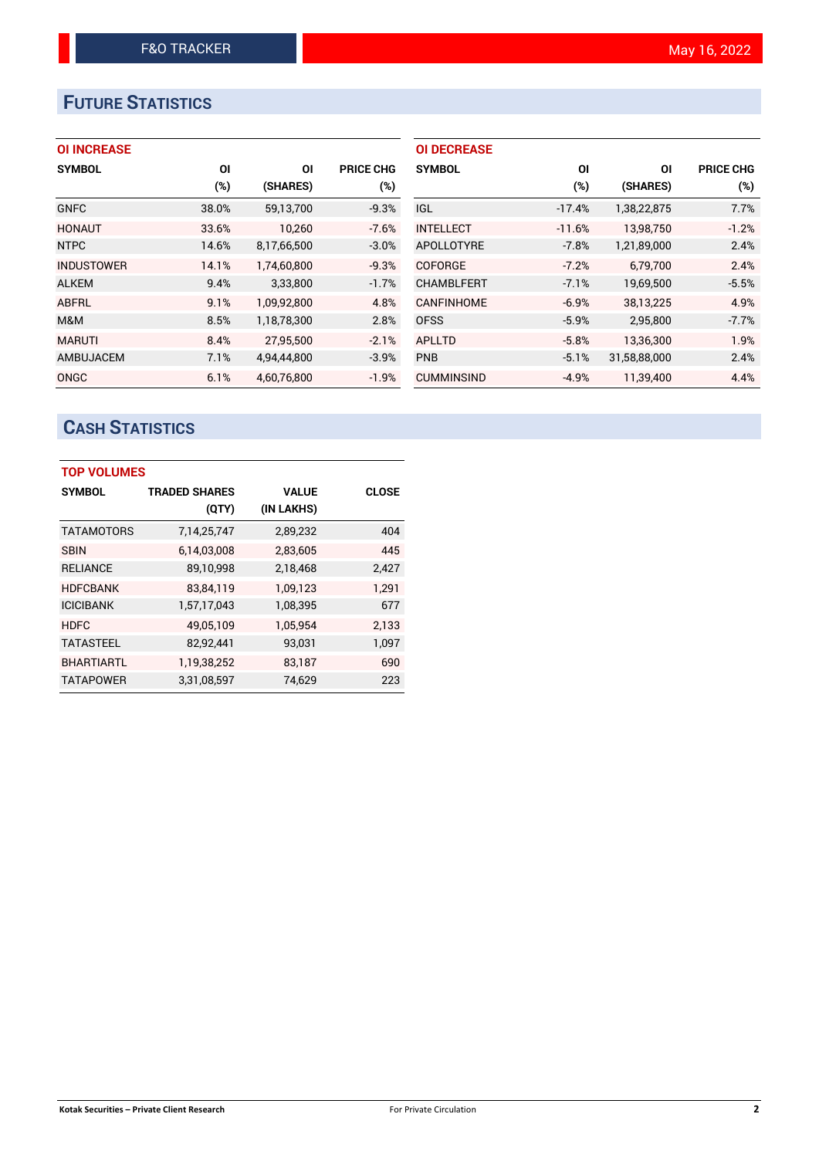# **FUTURE STATISTICS**

## **OI INCREASE**

| <b>SYMBOL</b>     | <b>OI</b> | ΟI          | <b>PRICE CHG</b> |
|-------------------|-----------|-------------|------------------|
|                   | (%)       | (SHARES)    | $(\%)$           |
| <b>GNFC</b>       | 38.0%     | 59,13,700   | $-9.3%$          |
| <b>HONAUT</b>     | 33.6%     | 10,260      | $-7.6%$          |
| <b>NTPC</b>       | 14.6%     | 8,17,66,500 | $-3.0%$          |
| <b>INDUSTOWER</b> | 14.1%     | 1,74,60,800 | $-9.3%$          |
| <b>ALKEM</b>      | 9.4%      | 3,33,800    | $-1.7%$          |
| ABFRL             | 9.1%      | 1,09,92,800 | 4.8%             |
| M&M               | 8.5%      | 1,18,78,300 | 2.8%             |
| <b>MARUTI</b>     | 8.4%      | 27,95,500   | $-2.1%$          |
| <b>AMBUJACEM</b>  | 7.1%      | 4,94,44,800 | $-3.9%$          |
| ONGC              | 6.1%      | 4,60,76,800 | $-1.9%$          |

| <b>OI DECREASE</b> |          |              |                  |
|--------------------|----------|--------------|------------------|
| <b>SYMBOL</b>      | ΟI       | ΟI           | <b>PRICE CHG</b> |
|                    | $(\%)$   | (SHARES)     | $(\%)$           |
| IGL.               | $-17.4%$ | 1,38,22,875  | 7.7%             |
| <b>INTELLECT</b>   | $-11.6%$ | 13,98,750    | $-1.2%$          |
| <b>APOLLOTYRE</b>  | $-7.8%$  | 1,21,89,000  | 2.4%             |
| <b>COFORGE</b>     | $-7.2%$  | 6.79.700     | 2.4%             |
| <b>CHAMBLFERT</b>  | $-7.1%$  | 19,69,500    | $-5.5%$          |
| <b>CANFINHOME</b>  | $-6.9%$  | 38,13,225    | 4.9%             |
| <b>OFSS</b>        | $-5.9%$  | 2,95,800     | $-7.7%$          |
| <b>APLLTD</b>      | $-5.8%$  | 13,36,300    | 1.9%             |
| <b>PNB</b>         | $-5.1%$  | 31,58,88,000 | 2.4%             |
| <b>CUMMINSIND</b>  | $-4.9%$  | 11,39,400    | 4.4%             |

# **CASH STATISTICS**

| <b>TOP VOLUMES</b> |                      |              |              |  |  |  |  |
|--------------------|----------------------|--------------|--------------|--|--|--|--|
| <b>SYMBOL</b>      | <b>TRADED SHARES</b> | <b>VALUE</b> | <b>CLOSE</b> |  |  |  |  |
|                    | (QTY)                | (IN LAKHS)   |              |  |  |  |  |
| <b>TATAMOTORS</b>  | 7,14,25,747          | 2,89,232     | 404          |  |  |  |  |
| <b>SBIN</b>        | 6,14,03,008          | 2,83,605     | 445          |  |  |  |  |
| <b>RELIANCE</b>    | 89,10,998            | 2,18,468     | 2,427        |  |  |  |  |
| <b>HDFCBANK</b>    | 83,84,119            | 1,09,123     | 1.291        |  |  |  |  |
| <b>ICICIBANK</b>   | 1,57,17,043          | 1,08,395     | 677          |  |  |  |  |
| <b>HDFC</b>        | 49,05,109            | 1,05,954     | 2,133        |  |  |  |  |
| <b>TATASTEEL</b>   | 82,92,441            | 93,031       | 1,097        |  |  |  |  |
| <b>BHARTIARTL</b>  | 1,19,38,252          | 83,187       | 690          |  |  |  |  |
| <b>TATAPOWER</b>   | 3,31,08,597          | 74,629       | 223          |  |  |  |  |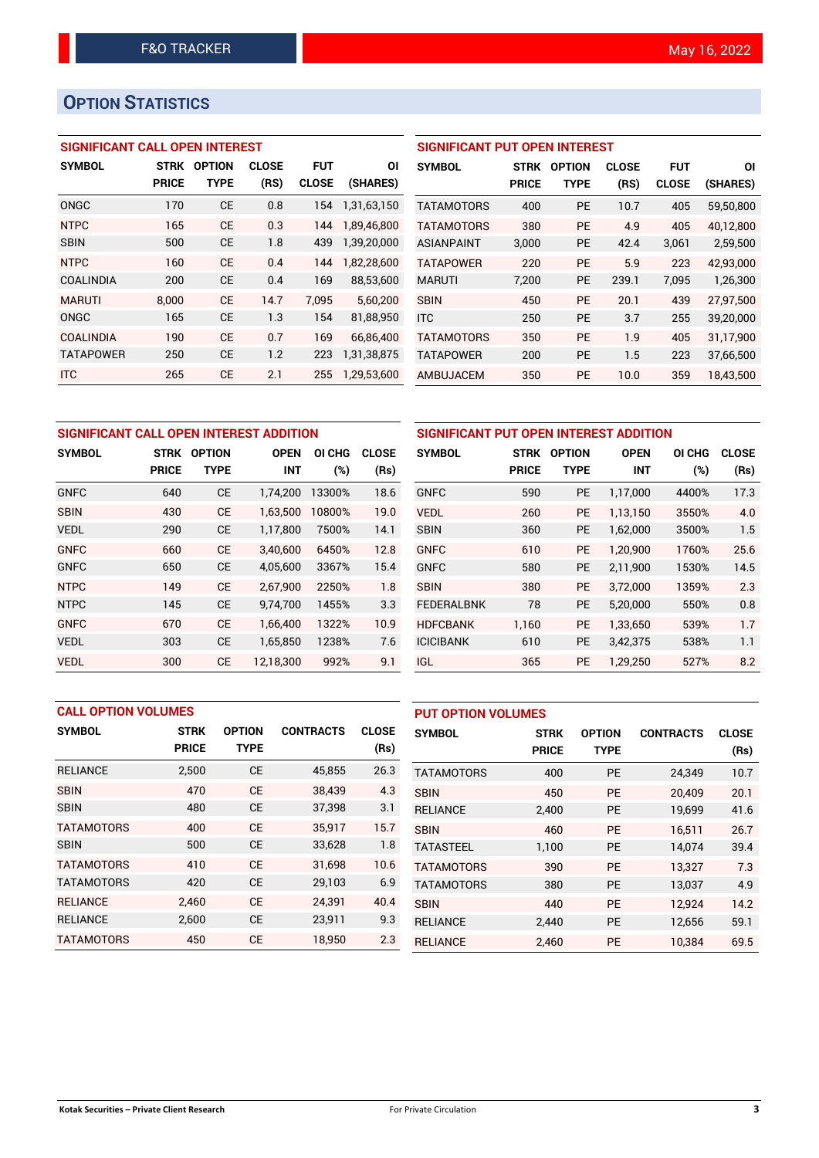# **OPTION STATISTICS**

## **SIGNIFICANT CALL OPEN INTEREST**

| <b>SYMBOL</b>    | <b>STRK</b>  | <b>OPTION</b> | <b>CLOSE</b> | <b>FUT</b>   | ΟI          |
|------------------|--------------|---------------|--------------|--------------|-------------|
|                  | <b>PRICE</b> | TYPE          | (RS)         | <b>CLOSE</b> | (SHARES)    |
| ONGC             | 170          | СE            | 0.8          | 154          | 1,31,63,150 |
| <b>NTPC</b>      | 165          | CF            | 0.3          | 144          | 1,89,46,800 |
| <b>SBIN</b>      | 500          | СE            | 1.8          | 439          | 1.39.20.000 |
| <b>NTPC</b>      | 160          | <b>CE</b>     | 0.4          | 144          | 1,82,28,600 |
| <b>COALINDIA</b> | 200          | <b>CE</b>     | 0.4          | 169          | 88,53,600   |
| <b>MARUTI</b>    | 8,000        | CF            | 14.7         | 7.095        | 5,60,200    |
| ONGC             | 165          | <b>CE</b>     | 1.3          | 154          | 81,88,950   |
| <b>COALINDIA</b> | 190          | <b>CE</b>     | 0.7          | 169          | 66,86,400   |
| <b>TATAPOWER</b> | 250          | <b>CE</b>     | 1.2          | 223          | 1,31,38,875 |
| <b>ITC</b>       | 265          | <b>CE</b>     | 2.1          | 255          | 1,29,53,600 |

## **SIGNIFICANT PUT OPEN INTEREST**

| <b>SYMBOL</b>     | <b>STRK</b><br><b>PRICE</b> | <b>OPTION</b><br>TYPE | <b>CLOSE</b><br>(RS) | <b>FUT</b><br><b>CLOSE</b> | ΟI<br>(SHARES) |
|-------------------|-----------------------------|-----------------------|----------------------|----------------------------|----------------|
| <b>TATAMOTORS</b> | 400                         | PF                    | 10.7                 | 405                        | 59,50,800      |
| <b>TATAMOTORS</b> | 380                         | PF                    | 4.9                  | 405                        | 40.12.800      |
| ASIANPAINT        | 3,000                       | PF                    | 42.4                 | 3,061                      | 2,59,500       |
| <b>TATAPOWER</b>  | 220                         | PF                    | 5.9                  | 223                        | 42.93.000      |
| <b>MARUTI</b>     | 7,200                       | <b>PE</b>             | 239.1                | 7.095                      | 1,26,300       |
| <b>SBIN</b>       | 450                         | PF                    | 20.1                 | 439                        | 27.97.500      |
| <b>ITC</b>        | 250                         | PF                    | 3.7                  | 255                        | 39,20,000      |
| <b>TATAMOTORS</b> | 350                         | PF                    | 1.9                  | 405                        | 31,17,900      |
| <b>TATAPOWER</b>  | 200                         | <b>PE</b>             | 1.5                  | 223                        | 37,66,500      |
| AMBUJACEM         | 350                         | <b>PE</b>             | 10.0                 | 359                        | 18,43,500      |

| SIGNIFICANT CALL OPEN INTEREST ADDITION |              |               |             |        |              |  |  |
|-----------------------------------------|--------------|---------------|-------------|--------|--------------|--|--|
| <b>SYMBOL</b>                           | STRK         | <b>OPTION</b> | <b>OPEN</b> | OI CHG | <b>CLOSE</b> |  |  |
|                                         | <b>PRICE</b> | <b>TYPE</b>   | <b>INT</b>  | (%)    | (Rs)         |  |  |
| <b>GNFC</b>                             | 640          | <b>CE</b>     | 1.74.200    | 13300% | 18.6         |  |  |
| <b>SBIN</b>                             | 430          | CE.           | 1,63,500    | 10800% | 19.0         |  |  |
| <b>VEDL</b>                             | 290          | <b>CE</b>     | 1,17,800    | 7500%  | 14.1         |  |  |
| <b>GNFC</b>                             | 660          | <b>CE</b>     | 3.40.600    | 6450%  | 12.8         |  |  |
| <b>GNFC</b>                             | 650          | <b>CE</b>     | 4,05,600    | 3367%  | 15.4         |  |  |
| <b>NTPC</b>                             | 149          | <b>CE</b>     | 2,67,900    | 2250%  | 1.8          |  |  |
| <b>NTPC</b>                             | 145          | <b>CE</b>     | 9,74,700    | 1455%  | 3.3          |  |  |
| <b>GNFC</b>                             | 670          | <b>CE</b>     | 1.66.400    | 1322%  | 10.9         |  |  |
| <b>VEDL</b>                             | 303          | <b>CE</b>     | 1.65.850    | 1238%  | 7.6          |  |  |
| <b>VEDL</b>                             | 300          | <b>CE</b>     | 12.18.300   | 992%   | 9.1          |  |  |

| SIGNIFICANT PUT OPEN INTEREST ADDITION |              |               |             |        |              |  |  |  |
|----------------------------------------|--------------|---------------|-------------|--------|--------------|--|--|--|
| <b>SYMBOL</b>                          | <b>STRK</b>  | <b>OPTION</b> | <b>OPEN</b> | OI CHG | <b>CLOSE</b> |  |  |  |
|                                        | <b>PRICE</b> | TYPE          | <b>INT</b>  | $(\%)$ | (Rs)         |  |  |  |
| <b>GNFC</b>                            | 590          | <b>PE</b>     | 1,17,000    | 4400%  | 17.3         |  |  |  |
| <b>VEDL</b>                            | 260          | <b>PE</b>     | 1,13,150    | 3550%  | 4.0          |  |  |  |
| <b>SBIN</b>                            | 360          | <b>PE</b>     | 1,62,000    | 3500%  | 1.5          |  |  |  |
| <b>GNFC</b>                            | 610          | <b>PE</b>     | 1,20,900    | 1760%  | 25.6         |  |  |  |
| <b>GNFC</b>                            | 580          | <b>PE</b>     | 2,11,900    | 1530%  | 14.5         |  |  |  |
| <b>SBIN</b>                            | 380          | PE            | 3,72,000    | 1359%  | 2.3          |  |  |  |
| <b>FEDERALBNK</b>                      | 78           | <b>PE</b>     | 5,20,000    | 550%   | 0.8          |  |  |  |
| <b>HDFCBANK</b>                        | 1,160        | <b>PE</b>     | 1,33,650    | 539%   | 1.7          |  |  |  |
| <b>ICICIBANK</b>                       | 610          | <b>PE</b>     | 3,42,375    | 538%   | 1.1          |  |  |  |
| IGL                                    | 365          | PE            | 1,29,250    | 527%   | 8.2          |  |  |  |

| <b>CALL OPTION VOLUMES</b> |                             |                              |                  |                      | <b>PUT OPTION VOLUMES</b> |                             |                              |                  |                      |
|----------------------------|-----------------------------|------------------------------|------------------|----------------------|---------------------------|-----------------------------|------------------------------|------------------|----------------------|
| <b>SYMBOL</b>              | <b>STRK</b><br><b>PRICE</b> | <b>OPTION</b><br><b>TYPE</b> | <b>CONTRACTS</b> | <b>CLOSE</b><br>(Rs) | <b>SYMBOL</b>             | <b>STRK</b><br><b>PRICE</b> | <b>OPTION</b><br><b>TYPE</b> | <b>CONTRACTS</b> | <b>CLOSE</b><br>(Rs) |
| <b>RELIANCE</b>            | 2,500                       | <b>CE</b>                    | 45,855           | 26.3                 | <b>TATAMOTORS</b>         | 400                         | PE                           | 24,349           | 10.7                 |
| <b>SBIN</b>                | 470                         | <b>CE</b>                    | 38.439           | 4.3                  | <b>SBIN</b>               | 450                         | <b>PE</b>                    | 20.409           | 20.1                 |
| <b>SBIN</b>                | 480                         | <b>CE</b>                    | 37,398           | 3.1                  | <b>RELIANCE</b>           | 2,400                       | <b>PE</b>                    | 19,699           | 41.6                 |
| <b>TATAMOTORS</b>          | 400                         | <b>CE</b>                    | 35,917           | 15.7                 | <b>SBIN</b>               | 460                         | <b>PE</b>                    | 16.511           | 26.7                 |
| <b>SBIN</b>                | 500                         | <b>CE</b>                    | 33,628           | 1.8                  | <b>TATASTEEL</b>          | 1,100                       | PE                           | 14,074           | 39.4                 |
| <b>TATAMOTORS</b>          | 410                         | <b>CE</b>                    | 31.698           | 10.6                 | <b>TATAMOTORS</b>         | 390                         | <b>PE</b>                    | 13.327           | 7.3                  |
| <b>TATAMOTORS</b>          | 420                         | <b>CE</b>                    | 29,103           | 6.9                  | <b>TATAMOTORS</b>         | 380                         | PE                           | 13,037           | 4.9                  |
| <b>RELIANCE</b>            | 2,460                       | <b>CE</b>                    | 24,391           | 40.4                 | <b>SBIN</b>               | 440                         | <b>PE</b>                    | 12,924           | 14.2                 |
| <b>RELIANCE</b>            | 2,600                       | CE                           | 23,911           | 9.3                  | <b>RELIANCE</b>           | 2.440                       | <b>PE</b>                    | 12,656           | 59.1                 |
| <b>TATAMOTORS</b>          | 450                         | <b>CE</b>                    | 18.950           | 2.3                  | <b>RELIANCE</b>           | 2,460                       | PE                           | 10.384           | 69.5                 |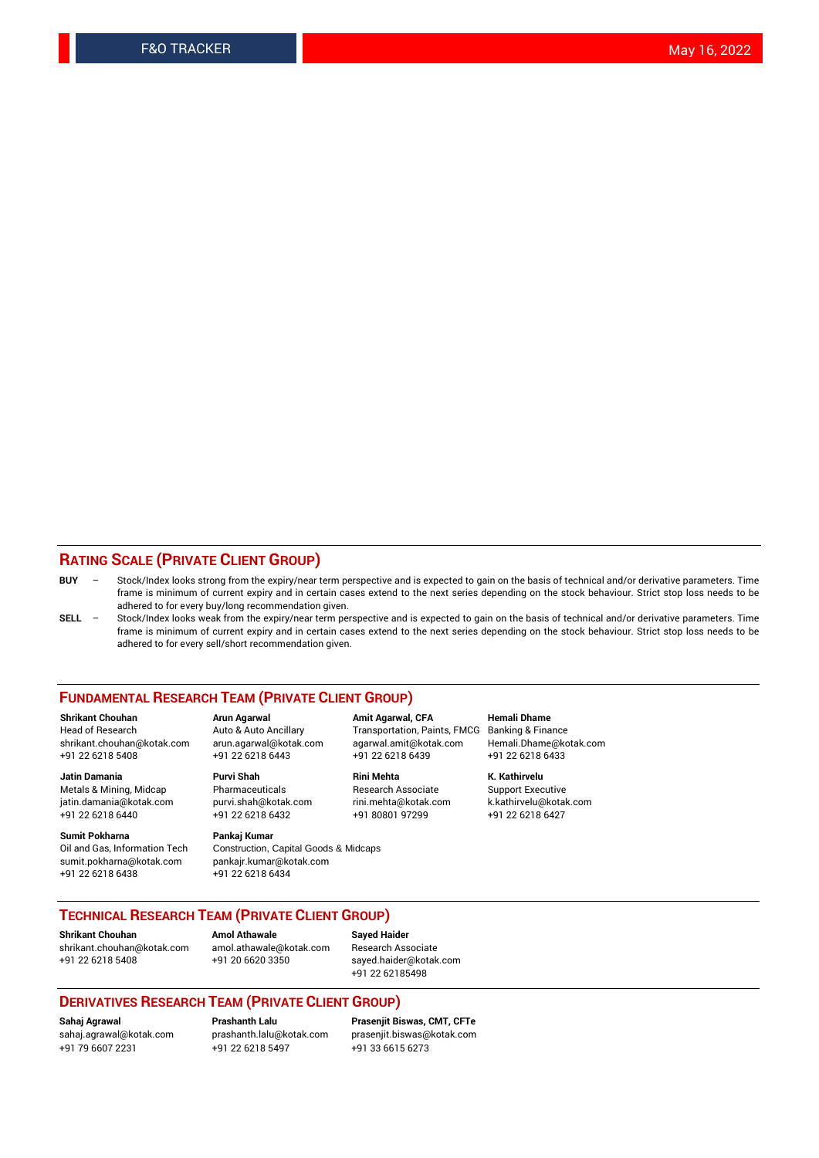#### **RATING SCALE (PRIVATE CLIENT GROUP)**

- **BUY**  Stock/Index looks strong from the expiry/near term perspective and is expected to gain on the basis of technical and/or derivative parameters. Time frame is minimum of current expiry and in certain cases extend to the next series depending on the stock behaviour. Strict stop loss needs to be adhered to for every buy/long recommendation given.
- **SELL** Stock/Index looks weak from the expiry/near term perspective and is expected to gain on the basis of technical and/or derivative parameters. Time frame is minimum of current expiry and in certain cases extend to the next series depending on the stock behaviour. Strict stop loss needs to be adhered to for every sell/short recommendation given.

#### **FUNDAMENTAL RESEARCH TEAM (PRIVATE CLIENT GROUP)**

**Shrikant Chouhan Arun Agarwal Amit Agarwal, CFA Hemali Dhame** shrikant.chouhan@kotak.com arun.agarwal@kotak.com agarwal.amit@kotak.com Hemali.Dhame@kotak.com +91 22 6218 5408 +91 22 6218 6443 +91 22 6218 6439 +91 22 6218 6433

Metals & Mining, Midcap Pharmaceuticals Pharmaceuticals Research Associate Support Executive<br>
iatin.damania@kotak.com purvi.shah@kotak.com rini.mehta@kotak.com k.kathirvelu@kotak.com jatin.damania@kotak.com

**Sumit Pokharna** Pankaj Kumar<br>Oil and Gas, Information Tech Construction, sumit.pokharna@kotak.com pankajr.kumar@kotak.com +91 22 6218 6438 +91 22 6218 6434

Construction, Capital Goods & Midcaps

Transportation, Paints, FMCG

**Jatin Damania Purvi Shah Rini Mehta K. Kathirvelu** +91 22 6218 6440 +91 22 6218 6432 +91 80801 97299 +91 22 6218 6427

## **TECHNICAL RESEARCH TEAM (PRIVATE CLIENT GROUP)**

**Shrikant Chouhan Amol Athawale Sayed Haider** [shrikant.chouhan@kotak.com](mailto:shrikant.chouhan@kotak.com) [amol.athawale@kotak.com](mailto:amol.athawale@kotak.com) Research Associate +91 22 6218 5408 +91 20 6620 3350 [sayed.haider@kotak.com](mailto:sayed.haider@kotak.com)

+91 22 62185498

#### **DERIVATIVES RESEARCH TEAM (PRIVATE CLIENT GROUP)**

+91 79 6607 2231 +91 22 6218 5497 +91 33 6615 6273

**Sahaj Agrawal Prashanth Lalu Prasenjit Biswas, CMT, CFTe** [prasenjit.biswas@kotak.com](mailto:prasenjit.biswas@kotak.com)